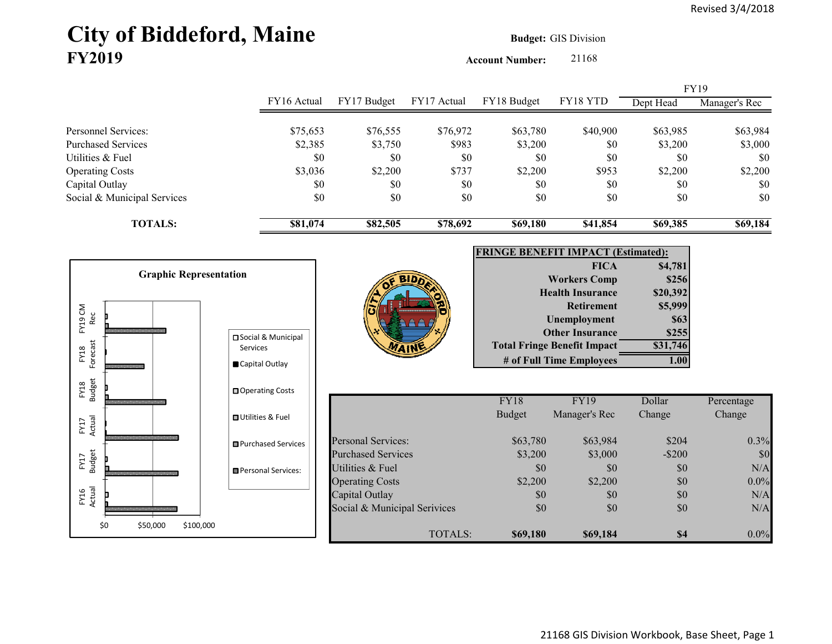# **City of Biddeford, Maine Budget:** GIS Division **FY2019**

**Account Number:** 21168

|                             |             |             |             |             |          | <b>FY19</b> |               |
|-----------------------------|-------------|-------------|-------------|-------------|----------|-------------|---------------|
|                             | FY16 Actual | FY17 Budget | FY17 Actual | FY18 Budget | FY18 YTD | Dept Head   | Manager's Rec |
| Personnel Services:         |             |             |             |             |          |             |               |
|                             | \$75,653    | \$76,555    | \$76,972    | \$63,780    | \$40,900 | \$63,985    | \$63,984      |
| Purchased Services          | \$2,385     | \$3,750     | \$983       | \$3,200     | \$0      | \$3,200     | \$3,000       |
| Utilities & Fuel            | \$0         | \$0         | \$0         | \$0         | \$0      | \$0         | \$0           |
| <b>Operating Costs</b>      | \$3,036     | \$2,200     | \$737       | \$2,200     | \$953    | \$2,200     | \$2,200       |
| Capital Outlay              | \$0         | \$0         | \$0         | \$0         | \$0      | \$0         | \$0           |
| Social & Municipal Services | \$0         | \$0         | \$0         | \$0         | \$0      | \$0         | \$0           |
| <b>TOTALS:</b>              | \$81,074    | \$82,505    | \$78,692    | \$69,180    | \$41,854 | \$69,385    | \$69,184      |

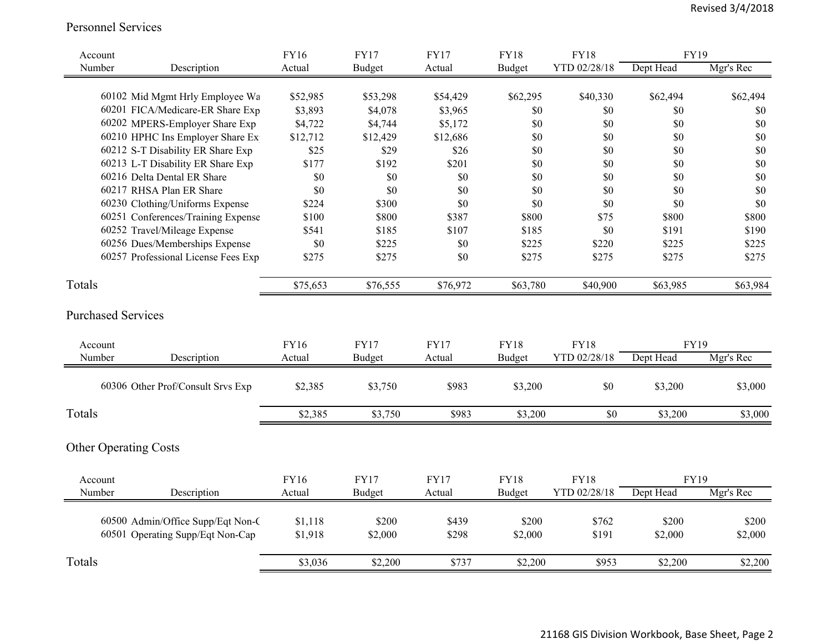Personnel Services

| Account                      |                                     | FY16     | <b>FY17</b>   | <b>FY17</b> | <b>FY18</b>   | <b>FY18</b>  | <b>FY19</b> |           |
|------------------------------|-------------------------------------|----------|---------------|-------------|---------------|--------------|-------------|-----------|
| Number                       | Description                         | Actual   | <b>Budget</b> | Actual      | <b>Budget</b> | YTD 02/28/18 | Dept Head   | Mgr's Rec |
|                              |                                     |          |               |             |               |              |             |           |
|                              | 60102 Mid Mgmt Hrly Employee Wa     | \$52,985 | \$53,298      | \$54,429    | \$62,295      | \$40,330     | \$62,494    | \$62,494  |
|                              | 60201 FICA/Medicare-ER Share Exp    | \$3,893  | \$4,078       | \$3,965     | \$0           | \$0          | \$0         | \$0       |
|                              | 60202 MPERS-Employer Share Exp      | \$4,722  | \$4,744       | \$5,172     | \$0           | \$0          | \$0         | $\$0$     |
|                              | 60210 HPHC Ins Employer Share Ex    | \$12,712 | \$12,429      | \$12,686    | \$0           | \$0          | \$0         | \$0       |
|                              | 60212 S-T Disability ER Share Exp   | \$25     | \$29          | \$26        | \$0           | \$0          | \$0         | \$0       |
|                              | 60213 L-T Disability ER Share Exp   | \$177    | \$192         | \$201       | \$0           | \$0          | \$0         | \$0       |
|                              | 60216 Delta Dental ER Share         | \$0      | \$0           | \$0         | \$0           | \$0          | \$0         | \$0       |
|                              | 60217 RHSA Plan ER Share            | \$0      | \$0           | \$0         | \$0           | \$0          | \$0         | \$0       |
|                              | 60230 Clothing/Uniforms Expense     | \$224    | \$300         | \$0         | \$0           | \$0          | \$0         | \$0       |
|                              | 60251 Conferences/Training Expense  | \$100    | \$800         | \$387       | \$800         | \$75         | \$800       | \$800     |
|                              | 60252 Travel/Mileage Expense        | \$541    | \$185         | \$107       | \$185         | \$0          | \$191       | \$190     |
|                              | 60256 Dues/Memberships Expense      | \$0      | \$225         | \$0         | \$225         | \$220        | \$225       | \$225     |
|                              | 60257 Professional License Fees Exp | \$275    | \$275         | \$0         | \$275         | \$275        | \$275       | \$275     |
| Totals                       |                                     | \$75,653 | \$76,555      | \$76,972    | \$63,780      | \$40,900     | \$63,985    | \$63,984  |
| <b>Purchased Services</b>    |                                     |          |               |             |               |              |             |           |
| Account                      |                                     | FY16     | <b>FY17</b>   | <b>FY17</b> | <b>FY18</b>   | <b>FY18</b>  | <b>FY19</b> |           |
| Number                       | Description                         | Actual   | <b>Budget</b> | Actual      | Budget        | YTD 02/28/18 | Dept Head   | Mgr's Rec |
|                              | 60306 Other Prof/Consult Srvs Exp   | \$2,385  | \$3,750       | \$983       | \$3,200       | \$0          | \$3,200     | \$3,000   |
| Totals                       |                                     | \$2,385  | \$3,750       | \$983       | \$3,200       | \$0          | \$3,200     | \$3,000   |
| <b>Other Operating Costs</b> |                                     |          |               |             |               |              |             |           |
|                              |                                     |          |               |             |               |              |             |           |
| Account                      |                                     | FY16     | <b>FY17</b>   | <b>FY17</b> | <b>FY18</b>   | <b>FY18</b>  | <b>FY19</b> |           |
| Number                       | Description                         | Actual   | Budget        | Actual      | Budget        | YTD 02/28/18 | Dept Head   | Mgr's Rec |
|                              | 60500 Admin/Office Supp/Eqt Non-C   | \$1,118  | \$200         | \$439       | \$200         | \$762        | \$200       | \$200     |
|                              | 60501 Operating Supp/Eqt Non-Cap    | \$1,918  | \$2,000       | \$298       | \$2,000       | \$191        | \$2,000     | \$2,000   |
| Totals                       |                                     | \$3,036  | \$2,200       | \$737       | \$2,200       | \$953        | \$2,200     | \$2,200   |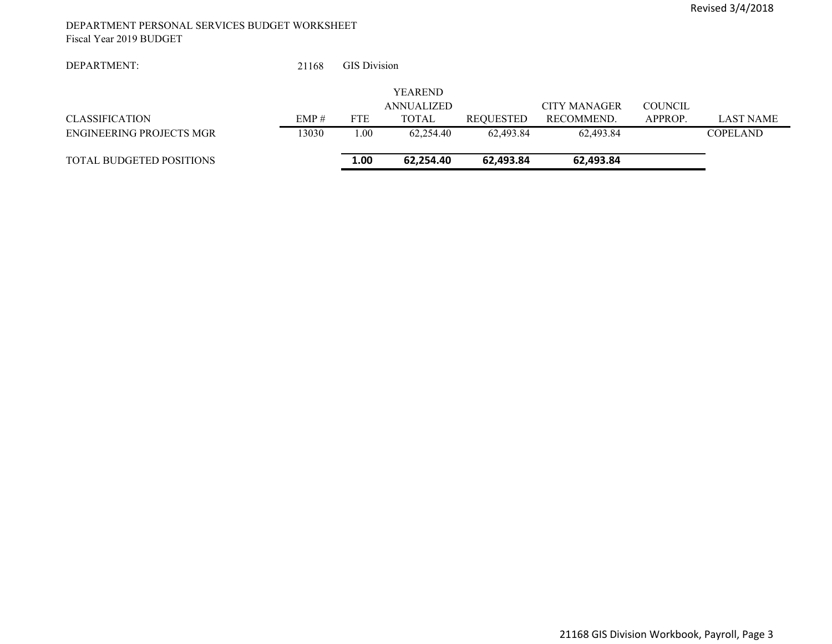#### DEPARTMENT PERSONAL SERVICES BUDGET WORKSHEET Fiscal Year 2019 BUDGET

 21168GIS Divisio n

|                                 |          |            | <b>YEAREND</b> |           |              |                |           |
|---------------------------------|----------|------------|----------------|-----------|--------------|----------------|-----------|
|                                 |          |            | ANNUALIZED     |           | CITY MANAGER | <b>COUNCIL</b> |           |
| <b>CLASSIFICATION</b>           | $EMP \#$ | <b>FTE</b> | TOTAL          | REOUESTED | RECOMMEND.   | APPROP.        | LAST NAME |
| ENGINEERING PROJECTS MGR        | 3030     | .00        | 62.254.40      | 62.493.84 | 62.493.84    |                | COPELAND  |
| <b>TOTAL BUDGETED POSITIONS</b> |          | 1.00       | 62.254.40      | 62.493.84 | 62,493.84    |                |           |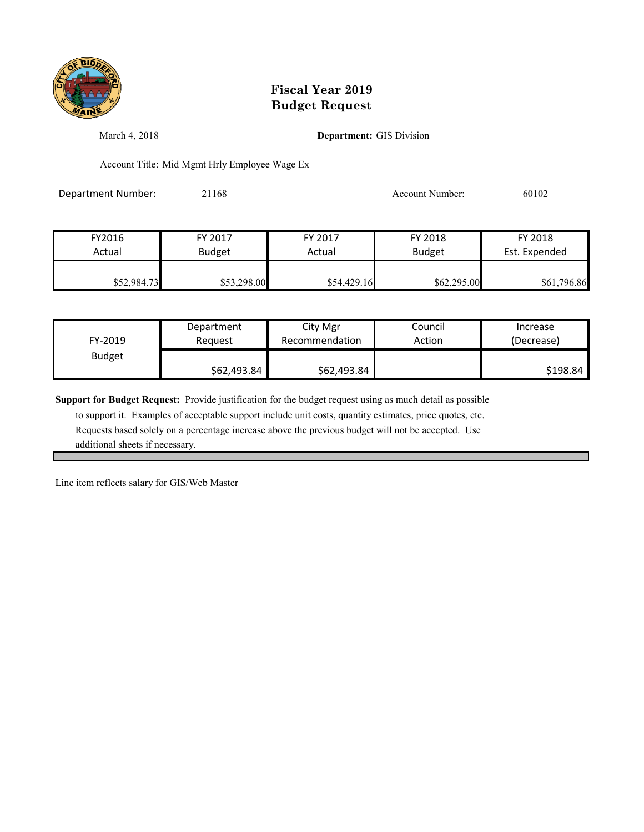

March 4, 2018 **Department:** GIS Division

Account Title: Mid Mgmt Hrly Employee Wage Ex

Department Number: 21168 21168 Account Number: 60102

| FY2016      | FY 2017       | FY 2017     | FY 2018       | FY 2018       |
|-------------|---------------|-------------|---------------|---------------|
| Actual      | <b>Budget</b> | Actual      | <b>Budget</b> | Est. Expended |
|             |               |             |               |               |
| \$52,984.73 | \$53,298.00   | \$54,429.16 | \$62,295.00   | \$61,796.86   |

| FY-2019       | Department  | City Mgr       | Council | Increase   |
|---------------|-------------|----------------|---------|------------|
|               | Reauest     | Recommendation | Action  | (Decrease) |
| <b>Budget</b> | \$62,493.84 | \$62,493.84    |         | \$198.84   |

**Support for Budget Request:** Provide justification for the budget request using as much detail as possible

 to support it. Examples of acceptable support include unit costs, quantity estimates, price quotes, etc. Requests based solely on a percentage increase above the previous budget will not be accepted. Use additional sheets if necessary.

Line item reflects salary for GIS/Web Master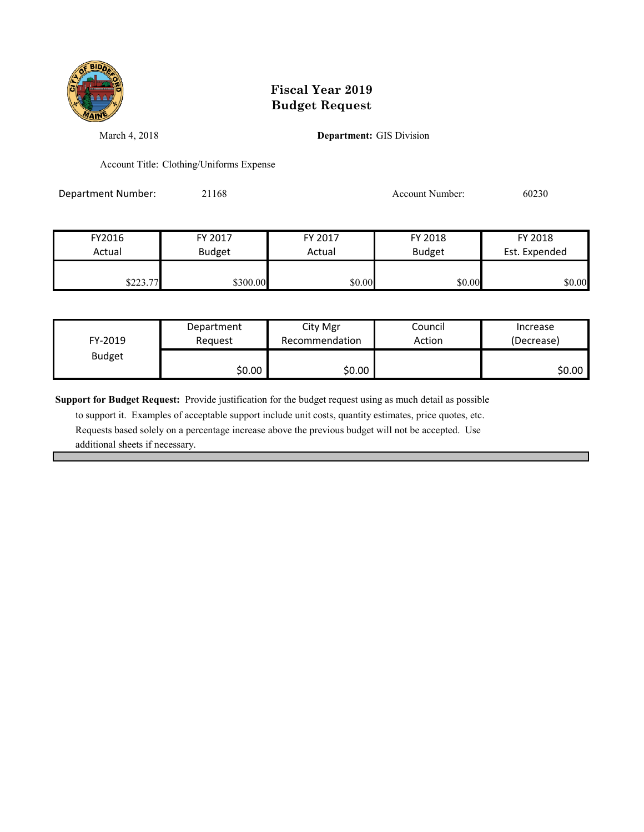

March 4, 2018 **Department:** GIS Division

Account Title: Clothing/Uniforms Expense

Department Number: 21168 21168 Account Number: 60230

| FY2016   | FY 2017       | FY 2017 | FY 2018       | FY 2018       |
|----------|---------------|---------|---------------|---------------|
| Actual   | <b>Budget</b> | Actual  | <b>Budget</b> | Est. Expended |
| \$223.77 | \$300.00      | \$0.00  | \$0.00        | \$0.00        |

| FY-2019       | Department | City Mgr       | Council | Increase   |
|---------------|------------|----------------|---------|------------|
|               | Reauest    | Recommendation | Action  | (Decrease) |
| <b>Budget</b> | \$0.00     | \$0.00         |         | \$0.00 l   |

**Support for Budget Request:** Provide justification for the budget request using as much detail as possible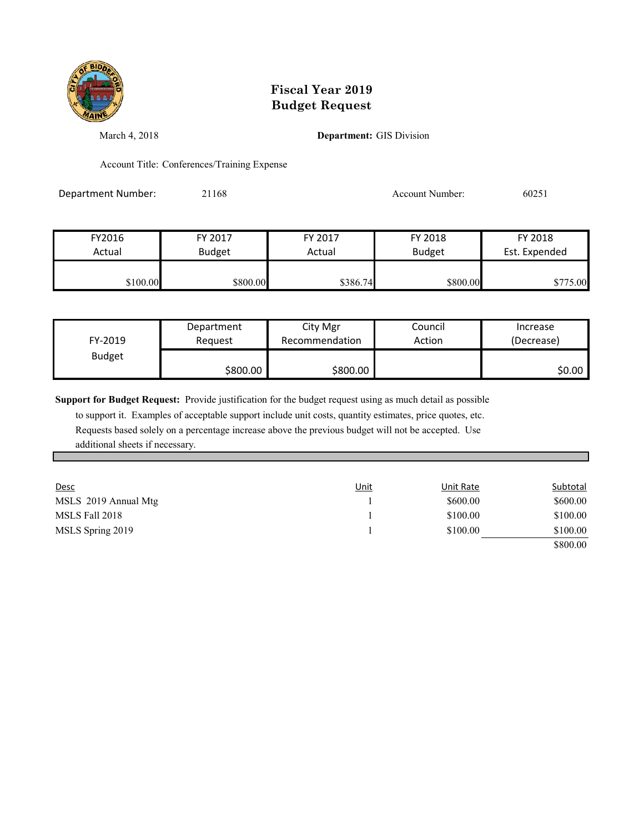

March 4, 2018 **Department:** GIS Division

Account Title: Conferences/Training Expense

Department Number: 21168 21168 Account Number: 60251

| FY2016   | FY 2017       | FY 2017  | FY 2018       | FY 2018       |
|----------|---------------|----------|---------------|---------------|
| Actual   | <b>Budget</b> | Actual   | <b>Budget</b> | Est. Expended |
|          |               |          |               |               |
| \$100.00 | \$800.00      | \$386.74 | \$800.00      | \$775.00      |

| FY-2019       | Department | City Mgr       | Council | Increase   |
|---------------|------------|----------------|---------|------------|
|               | Reauest    | Recommendation | Action  | (Decrease) |
| <b>Budget</b> | \$800.00   | \$800.00       |         | \$0.00 l   |

**Support for Budget Request:** Provide justification for the budget request using as much detail as possible

| <u>Desc</u>          | <u>Unit</u> | Unit Rate | Subtotal |
|----------------------|-------------|-----------|----------|
| MSLS 2019 Annual Mtg |             | \$600.00  | \$600.00 |
| MSLS Fall 2018       |             | \$100.00  | \$100.00 |
| MSLS Spring 2019     |             | \$100.00  | \$100.00 |
|                      |             |           | \$800.00 |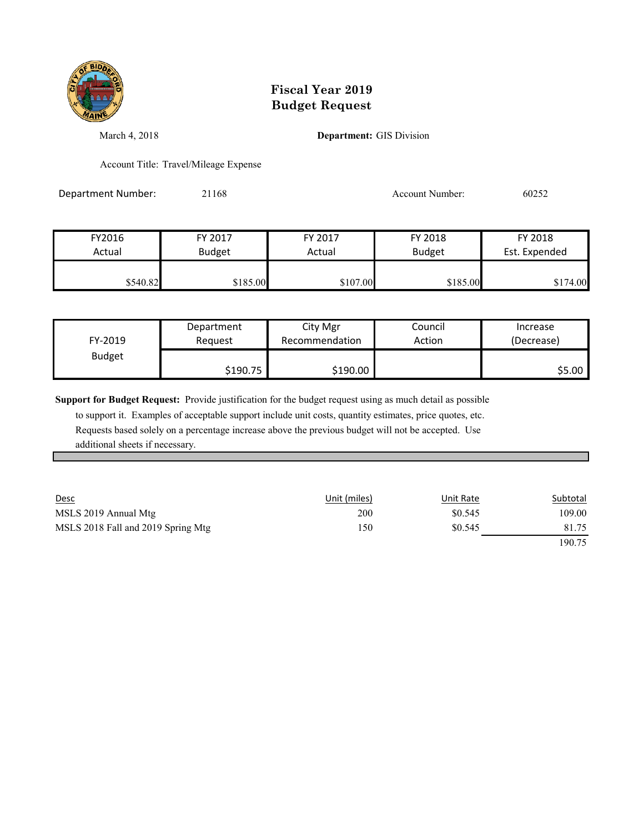

March 4, 2018 **Department:** GIS Division

Account Title: Travel/Mileage Expense

Department Number: 21168 21168 Account Number: 60252

| FY2016   | FY 2017       | FY 2017  | FY 2018       | FY 2018       |
|----------|---------------|----------|---------------|---------------|
| Actual   | <b>Budget</b> | Actual   | <b>Budget</b> | Est. Expended |
| \$540.82 | \$185.00      | \$107.00 | \$185.00      | \$174.00      |

| FY-2019       | Department | City Mgr       | Council | Increase   |
|---------------|------------|----------------|---------|------------|
|               | Reguest    | Recommendation | Action  | (Decrease) |
| <b>Budget</b> | \$190.75   | \$190.00       |         | \$5.00 l   |

**Support for Budget Request:** Provide justification for the budget request using as much detail as possible

| <b>Desc</b>                        | Unit (miles) | Unit Rate | Subtotal |
|------------------------------------|--------------|-----------|----------|
| MSLS 2019 Annual Mtg               | 200          | \$0.545   | 109.00   |
| MSLS 2018 Fall and 2019 Spring Mtg | 150          | \$0.545   | 81.75    |
|                                    |              |           | 190.75   |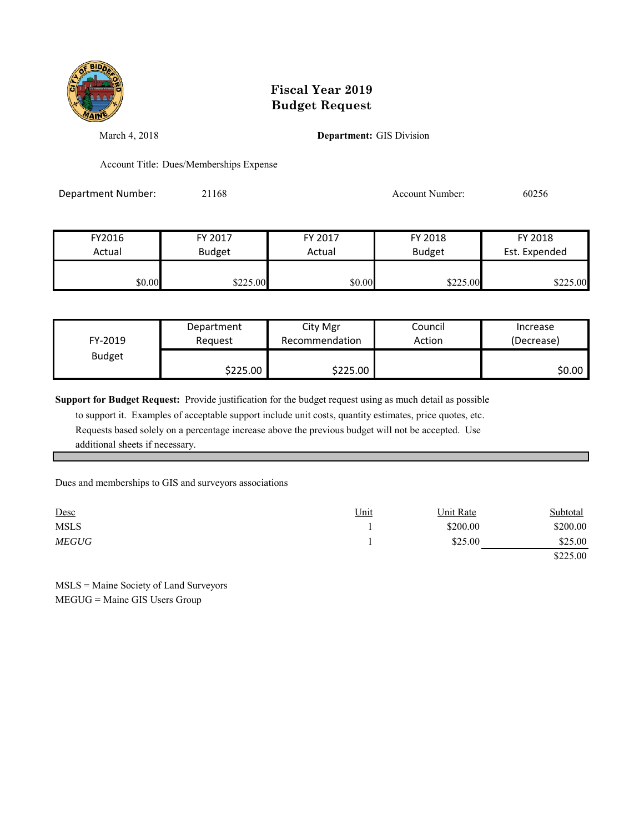

March 4, 2018 **Department:** GIS Division

Account Title: Dues/Memberships Expense

Department Number: 21168 21168 Account Number: 60256

| FY2016 | FY 2017       | FY 2017 | FY 2018       | FY 2018       |
|--------|---------------|---------|---------------|---------------|
| Actual | <b>Budget</b> | Actual  | <b>Budget</b> | Est. Expended |
|        |               |         |               |               |
| \$0.00 | \$225.00      | \$0.00  | \$225.00      | \$225.00      |

| FY-2019       | Department | City Mgr       | Council | Increase   |
|---------------|------------|----------------|---------|------------|
|               | Reauest    | Recommendation | Action  | (Decrease) |
| <b>Budget</b> | \$225.00   | \$225.00       |         | \$0.00     |

**Support for Budget Request:** Provide justification for the budget request using as much detail as possible

 to support it. Examples of acceptable support include unit costs, quantity estimates, price quotes, etc. Requests based solely on a percentage increase above the previous budget will not be accepted. Use additional sheets if necessary.

Dues and memberships to GIS and surveyors associations

| Desc         | Unit | Unit Rate | Subtotal |
|--------------|------|-----------|----------|
| <b>MSLS</b>  |      | \$200.00  | \$200.00 |
| <i>MEGUG</i> |      | \$25.00   | \$25.00  |
|              |      |           | \$225.00 |

MSLS = Maine Society of Land Surveyors MEGUG = Maine GIS Users Group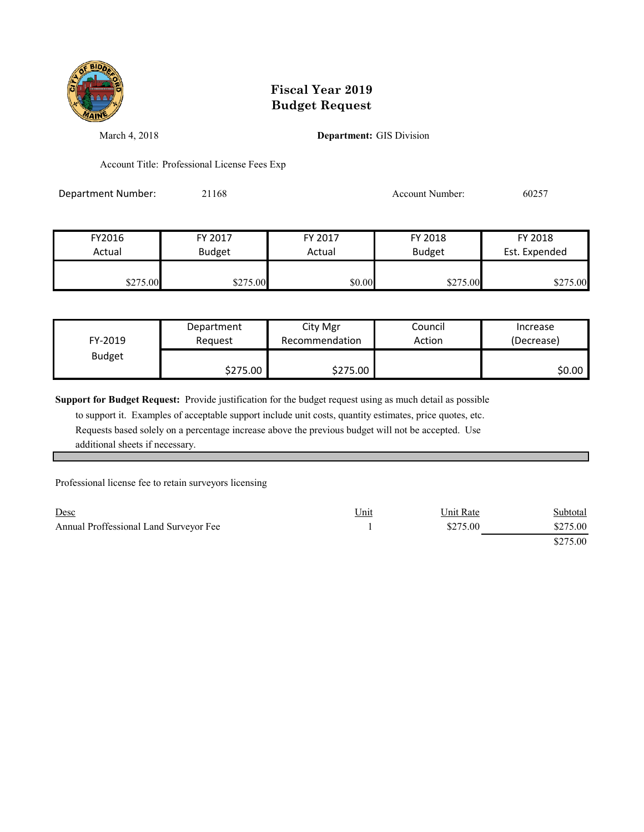

March 4, 2018 **Department:** GIS Division

Account Title: Professional License Fees Exp

Department Number: 21168 21168 Account Number: 60257

| FY2016   | FY 2017       | FY 2017 | FY 2018       | FY 2018       |
|----------|---------------|---------|---------------|---------------|
| Actual   | <b>Budget</b> | Actual  | <b>Budget</b> | Est. Expended |
|          |               |         |               |               |
| \$275.00 | \$275.00      | \$0.00  | \$275.00      | \$275.00      |

| FY-2019       | Department | City Mgr       | Council | Increase   |
|---------------|------------|----------------|---------|------------|
|               | Reauest    | Recommendation | Action  | (Decrease) |
| <b>Budget</b> | \$275.00   | \$275.00       |         | \$0.00     |

**Support for Budget Request:** Provide justification for the budget request using as much detail as possible

 to support it. Examples of acceptable support include unit costs, quantity estimates, price quotes, etc. Requests based solely on a percentage increase above the previous budget will not be accepted. Use additional sheets if necessary.

Professional license fee to retain surveyors licensing

| Desc                                   | Unit | Unit Rate | <b>Subtotal</b> |
|----------------------------------------|------|-----------|-----------------|
| Annual Proffessional Land Surveyor Fee |      | \$275.00  | \$275.00        |
|                                        |      |           | \$275.00        |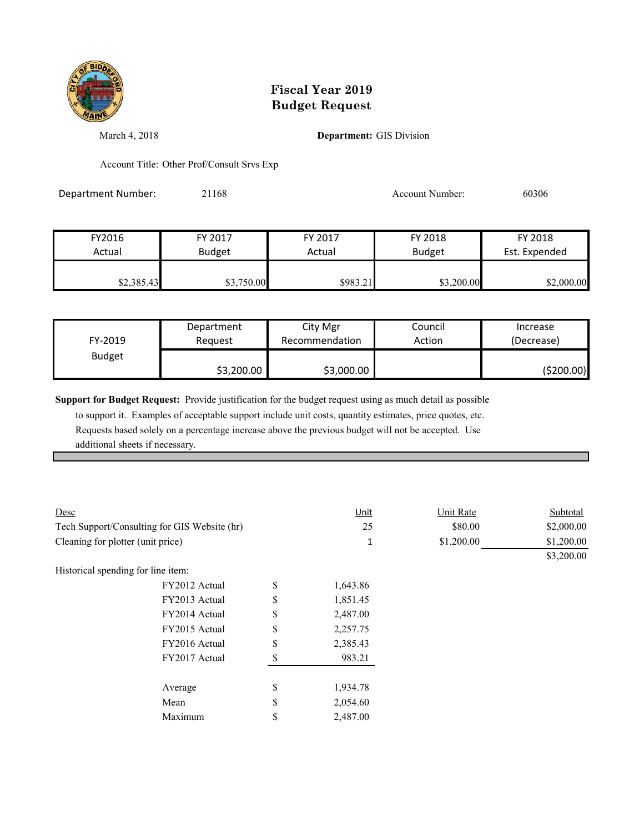

March 4, 2018 **Department:** GIS Division

Account Title: Other Prof/Consult Srvs Exp

Department Number: 21168 21168 Account Number: 60306

| FY2016     | FY 2017       | FY 2017  | FY 2018       | FY 2018       |
|------------|---------------|----------|---------------|---------------|
| Actual     | <b>Budget</b> | Actual   | <b>Budget</b> | Est. Expended |
|            |               |          |               |               |
| \$2,385.43 | \$3,750.00    | \$983.21 | \$3,200.00    | \$2,000.00    |

| FY-2019       | Department | City Mgr       | Council | Increase    |
|---------------|------------|----------------|---------|-------------|
|               | Reauest    | Recommendation | Action  | (Decrease)  |
| <b>Budget</b> | \$3,200.00 | \$3,000.00     |         | ( \$200.00] |

**Support for Budget Request:** Provide justification for the budget request using as much detail as possible

| Desc                                         |               | <u>Unit</u> | Unit Rate  | Subtotal   |
|----------------------------------------------|---------------|-------------|------------|------------|
| Tech Support/Consulting for GIS Website (hr) |               | 25          | \$80.00    | \$2,000.00 |
| Cleaning for plotter (unit price)            |               | 1           | \$1,200.00 | \$1,200.00 |
|                                              |               |             |            | \$3,200.00 |
| Historical spending for line item:           |               |             |            |            |
| FY2012 Actual                                | \$            | 1,643.86    |            |            |
| FY2013 Actual                                | \$            | 1,851.45    |            |            |
| FY2014 Actual                                | \$            | 2,487.00    |            |            |
| FY2015 Actual                                | \$            | 2,257.75    |            |            |
| FY2016 Actual                                | \$            | 2,385.43    |            |            |
| FY2017 Actual                                | <sup>\$</sup> | 983.21      |            |            |
| Average                                      | \$            | 1,934.78    |            |            |
| Mean                                         | \$            | 2,054.60    |            |            |
| Maximum                                      | \$            | 2,487.00    |            |            |
|                                              |               |             |            |            |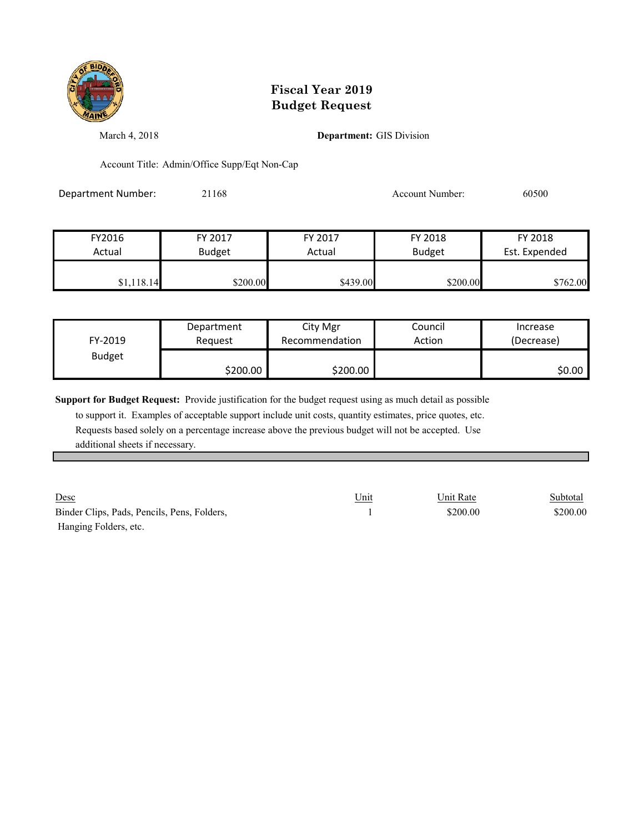

March 4, 2018 **Department:** GIS Division

Account Title: Admin/Office Supp/Eqt Non-Cap

Department Number: 21168 21168 Account Number: 60500

| FY2016     | FY 2017       | FY 2017  | FY 2018       | FY 2018       |
|------------|---------------|----------|---------------|---------------|
| Actual     | <b>Budget</b> | Actual   | <b>Budget</b> | Est. Expended |
|            |               |          |               |               |
| \$1,118.14 | \$200.00      | \$439.00 | \$200.00      | \$762.00      |

| FY-2019       | Department | City Mgr       | Council | Increase   |
|---------------|------------|----------------|---------|------------|
|               | Reauest    | Recommendation | Action  | (Decrease) |
| <b>Budget</b> | \$200.00   | \$200.00       |         | \$0.00 l   |

**Support for Budget Request:** Provide justification for the budget request using as much detail as possible

 to support it. Examples of acceptable support include unit costs, quantity estimates, price quotes, etc. Requests based solely on a percentage increase above the previous budget will not be accepted. Use additional sheets if necessary.

<u>Desc</u> Subtotal Contract Unit Contract Unit Contract Contract Contract Contract Contract Contract Contract Contract Contract Contract Contract Contract Contract Contract Contract Contract Contract Contract Contract Contrac Binder Clips, Pads, Pencils, Pens, Folders, 200.00 \$200.00 \$200.00 \$200.00 Hanging Folders, etc.